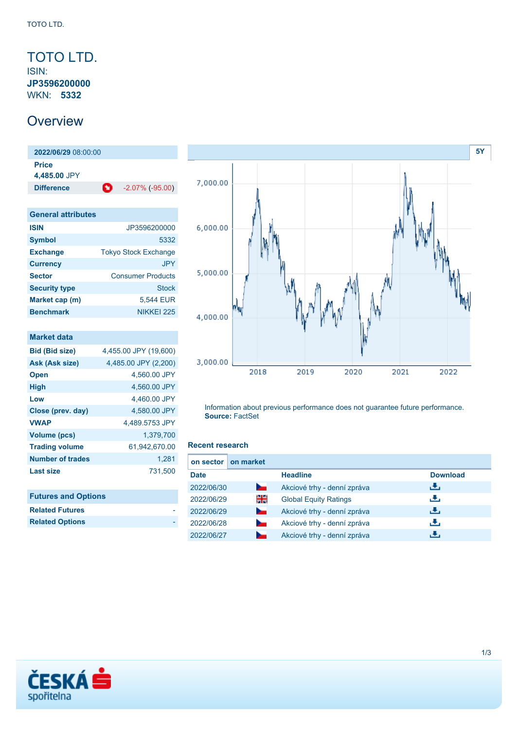### <span id="page-0-0"></span>TOTO LTD. ISIN: **JP3596200000** WKN: **5332**

### **Overview**

**2022/06/29** 08:00:00 **Price 4,485.00** JPY **Difference** -2.07% (-95.00)

| <b>General attributes</b> |                             |
|---------------------------|-----------------------------|
| <b>ISIN</b>               | JP3596200000                |
| <b>Symbol</b>             | 5332                        |
| <b>Exchange</b>           | <b>Tokyo Stock Exchange</b> |
| <b>Currency</b>           | JPY.                        |
| <b>Sector</b>             | <b>Consumer Products</b>    |
| <b>Security type</b>      | <b>Stock</b>                |
| Market cap (m)            | 5,544 EUR                   |
| <b>Benchmark</b>          | NIKKEI 225                  |

| 4,455.00 JPY (19,600) |
|-----------------------|
| 4,485.00 JPY (2,200)  |
| 4,560.00 JPY          |
| 4,560.00 JPY          |
| 4,460.00 JPY          |
| 4,580.00 JPY          |
| 4.489.5753 JPY        |
| 1,379,700             |
| 61,942,670.00         |
| 1.281                 |
| 731,500               |
|                       |
|                       |

| <b>Futures and Options</b> |  |
|----------------------------|--|
| <b>Related Futures</b>     |  |
| <b>Related Options</b>     |  |



Information about previous performance does not guarantee future performance. **Source:** FactSet

#### **Recent research**

| on sector   | on market      |                              |                 |
|-------------|----------------|------------------------------|-----------------|
| <b>Date</b> |                | <b>Headline</b>              | <b>Download</b> |
| 2022/06/30  | <b>Service</b> | Akciové trhy - denní zpráva  | رنان            |
| 2022/06/29  | 꾉뚢             | <b>Global Equity Ratings</b> | رنان            |
| 2022/06/29  | <b>Service</b> | Akciové trhy - denní zpráva  | æ,              |
| 2022/06/28  |                | Akciové trhy - denní zpráva  | رالى            |
| 2022/06/27  |                | Akciové trhy - denní zpráva  |                 |

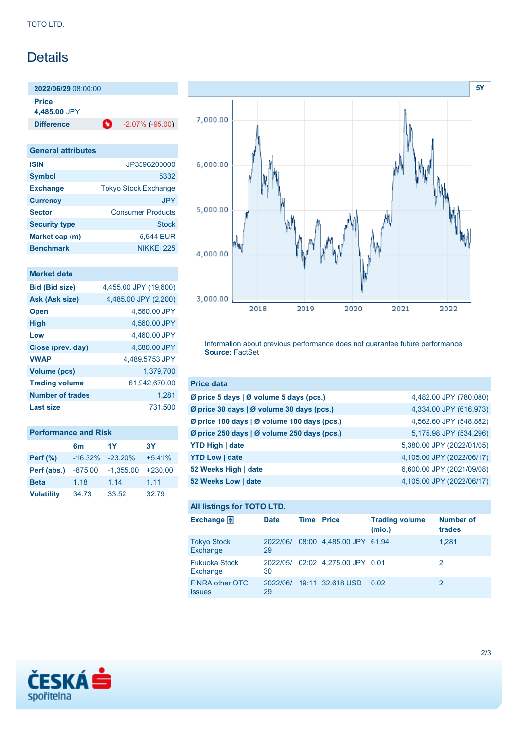## **Details**

**2022/06/29** 08:00:00

**Price 4,485.00** JPY

**Difference 1** -2.07% (-95.00)

| <b>General attributes</b> |                             |
|---------------------------|-----------------------------|
| <b>ISIN</b>               | JP3596200000                |
| <b>Symbol</b>             | 5332                        |
| <b>Exchange</b>           | <b>Tokyo Stock Exchange</b> |
| <b>Currency</b>           | <b>JPY</b>                  |
| <b>Sector</b>             | <b>Consumer Products</b>    |
| <b>Security type</b>      | Stock                       |
| Market cap (m)            | 5,544 EUR                   |
| <b>Benchmark</b>          | NIKKEI 225                  |

### **Market data**

| <b>Bid (Bid size)</b>   | 4,455.00 JPY (19,600) |
|-------------------------|-----------------------|
| Ask (Ask size)          | 4,485.00 JPY (2,200)  |
| <b>Open</b>             | 4.560.00 JPY          |
| <b>High</b>             | 4,560.00 JPY          |
| Low                     | 4.460.00 JPY          |
| Close (prev. day)       | 4.580.00 JPY          |
| <b>VWAP</b>             | 4.489.5753 JPY        |
| Volume (pcs)            | 1.379.700             |
| <b>Trading volume</b>   | 61.942.670.00         |
| <b>Number of trades</b> | 1.281                 |
| Last size               | 731.500               |

| <b>Performance and Risk</b> |                |             |           |  |
|-----------------------------|----------------|-------------|-----------|--|
|                             | 6 <sub>m</sub> | 1Y          | <b>3Y</b> |  |
| Perf $(\%)$                 | $-16.32%$      | $-23.20\%$  | $+5.41%$  |  |
| Perf (abs.)                 | $-875.00$      | $-1.355.00$ | $+230.00$ |  |
| <b>Beta</b>                 | 1.18           | 1.14        | 1.11      |  |
| <b>Volatility</b>           | 34.73          | 33.52       | 32.79     |  |



Information about previous performance does not guarantee future performance. **Source:** FactSet

| <b>Price data</b>                                         |                           |
|-----------------------------------------------------------|---------------------------|
| $\emptyset$ price 5 days $\emptyset$ volume 5 days (pcs.) | 4,482.00 JPY (780,080)    |
| Ø price 30 days   Ø volume 30 days (pcs.)                 | 4,334.00 JPY (616,973)    |
| Ø price 100 days   Ø volume 100 days (pcs.)               | 4,562.60 JPY (548,882)    |
| Ø price 250 days $\vert$ Ø volume 250 days (pcs.)         | 5,175.98 JPY (534,296)    |
| <b>YTD High   date</b>                                    | 5,380.00 JPY (2022/01/05) |
| <b>YTD Low   date</b>                                     | 4,105.00 JPY (2022/06/17) |
| 52 Weeks High   date                                      | 6,600.00 JPY (2021/09/08) |
| 52 Weeks Low   date                                       | 4,105.00 JPY (2022/06/17) |

### **All listings for TOTO LTD.**

| <b>Exchange</b>                  | <b>Date</b>    | <b>Time Price</b> |                                  | <b>Trading volume</b><br>(mio.) | Number of<br>trades |
|----------------------------------|----------------|-------------------|----------------------------------|---------------------------------|---------------------|
| <b>Tokyo Stock</b><br>Exchange   | 2022/06/<br>29 |                   | 08:00 4.485.00 JPY 61.94         |                                 | 1.281               |
| <b>Fukuoka Stock</b><br>Exchange | 30             |                   | 2022/05/ 02:02 4,275.00 JPY 0.01 |                                 | 2                   |
| FINRA other OTC<br><b>Issues</b> | 29             |                   | 2022/06/ 19:11 32.618 USD        | 0.02                            | 2                   |